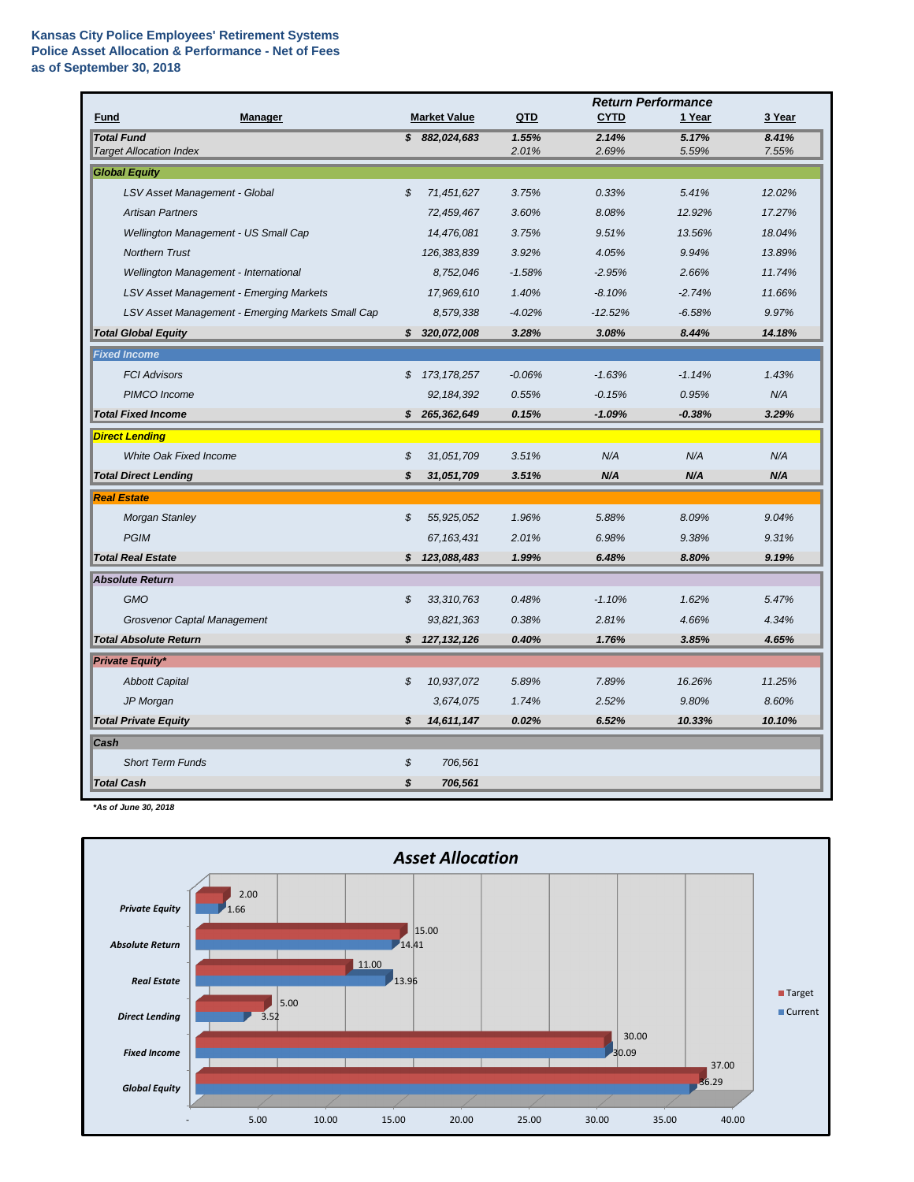|                                                     |                            |                     | <b>Return Performance</b> |                |                |                |
|-----------------------------------------------------|----------------------------|---------------------|---------------------------|----------------|----------------|----------------|
| <b>Manager</b><br><b>Fund</b>                       |                            | <b>Market Value</b> | QTD                       | <b>CYTD</b>    | 1 Year         | 3 Year         |
| <b>Total Fund</b><br><b>Target Allocation Index</b> |                            | \$882,024,683       | 1.55%<br>2.01%            | 2.14%<br>2.69% | 5.17%<br>5.59% | 8.41%<br>7.55% |
| <b>Global Equity</b>                                |                            |                     |                           |                |                |                |
| LSV Asset Management - Global                       | $\boldsymbol{\mathcal{S}}$ | 71,451,627          | 3.75%                     | 0.33%          | 5.41%          | 12.02%         |
| <b>Artisan Partners</b>                             |                            | 72,459,467          | 3.60%                     | 8.08%          | 12.92%         | 17.27%         |
| Wellington Management - US Small Cap                |                            | 14,476,081          | 3.75%                     | 9.51%          | 13.56%         | 18.04%         |
| <b>Northern Trust</b>                               |                            | 126,383,839         | 3.92%                     | 4.05%          | 9.94%          | 13.89%         |
| Wellington Management - International               |                            | 8,752,046           | $-1.58%$                  | $-2.95%$       | 2.66%          | 11.74%         |
| LSV Asset Management - Emerging Markets             |                            | 17,969,610          | 1.40%                     | $-8.10%$       | $-2.74%$       | 11.66%         |
| LSV Asset Management - Emerging Markets Small Cap   |                            | 8,579,338           | $-4.02%$                  | $-12.52%$      | $-6.58%$       | 9.97%          |
| <b>Total Global Equity</b>                          | S.                         | 320,072,008         | 3.28%                     | 3.08%          | 8.44%          | 14.18%         |
| <b>Fixed Income</b>                                 |                            |                     |                           |                |                |                |
| <b>FCI Advisors</b>                                 | \$                         | 173, 178, 257       | $-0.06%$                  | $-1.63%$       | $-1.14%$       | 1.43%          |
| PIMCO Income                                        |                            | 92, 184, 392        | 0.55%                     | $-0.15%$       | 0.95%          | N/A            |
| <b>Total Fixed Income</b>                           | S.                         | 265,362,649         | 0.15%                     | $-1.09%$       | $-0.38%$       | 3.29%          |
| <b>Direct Lending</b>                               |                            |                     |                           |                |                |                |
| <b>White Oak Fixed Income</b>                       | \$                         | 31,051,709          | 3.51%                     | N/A            | N/A            | N/A            |
| <b>Total Direct Lending</b>                         | \$                         | 31,051,709          | 3.51%                     | N/A            | N/A            | N/A            |
| <b>Real Estate</b>                                  |                            |                     |                           |                |                |                |
| <b>Morgan Stanley</b>                               | \$                         | 55,925,052          | 1.96%                     | 5.88%          | 8.09%          | 9.04%          |
| <b>PGIM</b>                                         |                            | 67, 163, 431        | 2.01%                     | 6.98%          | 9.38%          | 9.31%          |
| <b>Total Real Estate</b>                            | \$                         | 123,088,483         | 1.99%                     | 6.48%          | 8.80%          | 9.19%          |
| <b>Absolute Return</b>                              |                            |                     |                           |                |                |                |
| <b>GMO</b>                                          | $\boldsymbol{\mathcal{S}}$ | 33,310,763          | 0.48%                     | $-1.10%$       | 1.62%          | 5.47%          |
| <b>Grosvenor Captal Management</b>                  |                            | 93,821,363          | 0.38%                     | 2.81%          | 4.66%          | 4.34%          |
| <b>Total Absolute Return</b>                        | $\boldsymbol{\mathsf{s}}$  | 127, 132, 126       | 0.40%                     | 1.76%          | 3.85%          | 4.65%          |
| <b>Private Equity*</b>                              |                            |                     |                           |                |                |                |
| <b>Abbott Capital</b>                               | $\boldsymbol{\mathcal{S}}$ | 10,937,072          | 5.89%                     | 7.89%          | 16.26%         | 11.25%         |
| JP Morgan                                           |                            | 3,674,075           | 1.74%                     | 2.52%          | 9.80%          | 8.60%          |
| <b>Total Private Equity</b>                         | \$                         | 14,611,147          | 0.02%                     | 6.52%          | 10.33%         | 10.10%         |
| <b>Cash</b>                                         |                            |                     |                           |                |                |                |
| <b>Short Term Funds</b>                             | \$                         | 706,561             |                           |                |                |                |
| <b>Total Cash</b>                                   | \$                         | 706,561             |                           |                |                |                |

*\*As of June 30, 2018*